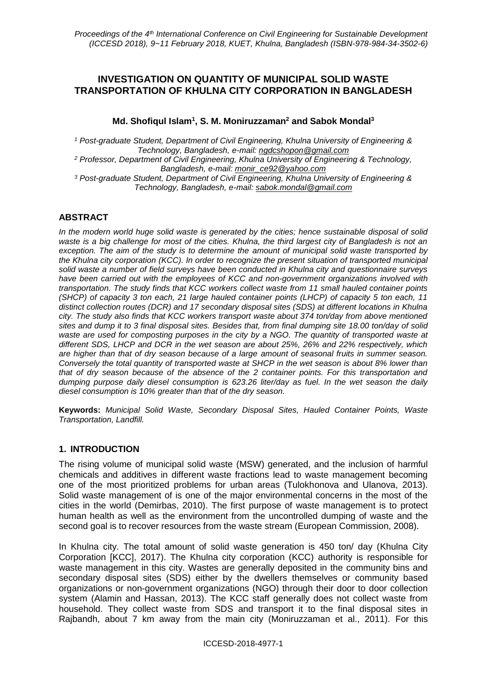# **INVESTIGATION ON QUANTITY OF MUNICIPAL SOLID WASTE TRANSPORTATION OF KHULNA CITY CORPORATION IN BANGLADESH**

**Md. Shofiqul Islam<sup>1</sup> , S. M. Moniruzzaman<sup>2</sup> and Sabok Mondal<sup>3</sup>**

*<sup>1</sup> Post-graduate Student, Department of Civil Engineering, Khulna University of Engineering & Technology, Bangladesh, e-mail: ngdcshopon@gmail.com <sup>2</sup> Professor, Department of Civil Engineering, Khulna University of Engineering & Technology,* 

*Bangladesh, e-mail: [monir\\_ce92@yahoo.com](mailto:monir_ce92@yahoo.com) <sup>3</sup> Post-graduate Student, Department of Civil Engineering, Khulna University of Engineering & Technology, Bangladesh, e-mail: [sabok.mondal@gmail.com](mailto:sabok.mondal@gmail.com)*

# **ABSTRACT**

*In the modern world huge solid waste is generated by the cities; hence sustainable disposal of solid*  waste is a big challenge for most of the cities. Khulna, the third largest city of Bangladesh is not an *exception. The aim of the study is to determine the amount of municipal solid waste transported by the Khulna city corporation (KCC). In order to recognize the present situation of transported municipal solid waste a number of field surveys have been conducted in Khulna city and questionnaire surveys have been carried out with the employees of KCC and non-government organizations involved with transportation. The study finds that KCC workers collect waste from 11 small hauled container points (SHCP) of capacity 3 ton each, 21 large hauled container points (LHCP) of capacity 5 ton each, 11 distinct collection routes (DCR) and 17 secondary disposal sites (SDS) at different locations in Khulna city. The study also finds that KCC workers transport waste about 374 ton/day from above mentioned sites and dump it to 3 final disposal sites. Besides that, from final dumping site 18.00 ton/day of solid*  waste are used for composting purposes in the city by a NGO. The quantity of transported waste at *different SDS, LHCP and DCR in the wet season are about 25%, 26% and 22% respectively, which are higher than that of dry season because of a large amount of seasonal fruits in summer season. Conversely the total quantity of transported waste at SHCP in the wet season is about 8% lower than that of dry season because of the absence of the 2 container points. For this transportation and dumping purpose daily diesel consumption is 623.26 liter/day as fuel. In the wet season the daily diesel consumption is 10% greater than that of the dry season.*

**Keywords:** *Municipal Solid Waste, Secondary Disposal Sites, Hauled Container Points, Waste Transportation, Landfill.*

## **1. INTRODUCTION**

The rising volume of municipal solid waste (MSW) generated, and the inclusion of harmful chemicals and additives in different waste fractions lead to waste management becoming one of the most prioritized problems for urban areas (Tulokhonova and Ulanova, 2013). Solid waste management of is one of the major environmental concerns in the most of the cities in the world (Demirbas, 2010). The first purpose of waste management is to protect human health as well as the environment from the uncontrolled dumping of waste and the second goal is to recover resources from the waste stream (European Commission, 2008).

In Khulna city. The total amount of solid waste generation is 450 ton/ day (Khulna City Corporation [KCC], 2017). The Khulna city corporation (KCC) authority is responsible for waste management in this city. Wastes are generally deposited in the community bins and secondary disposal sites (SDS) either by the dwellers themselves or community based organizations or non-government organizations (NGO) through their door to door collection system (Alamin and Hassan, 2013). The KCC staff generally does not collect waste from household. They collect waste from SDS and transport it to the final disposal sites in Rajbandh, about 7 km away from the main city (Moniruzzaman et al., 2011). For this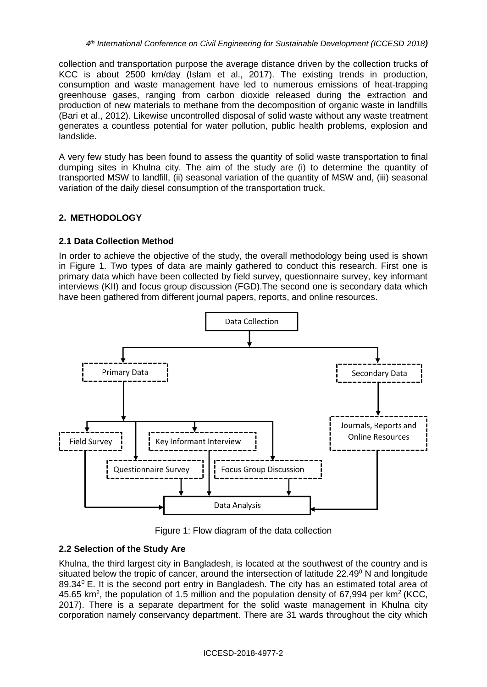collection and transportation purpose the average distance driven by the collection trucks of KCC is about 2500 km/day (Islam et al., 2017). The existing trends in production, consumption and waste management have led to numerous emissions of heat-trapping greenhouse gases, ranging from carbon dioxide released during the extraction and production of new materials to methane from the decomposition of organic waste in landfills (Bari et al., 2012). Likewise uncontrolled disposal of solid waste without any waste treatment generates a countless potential for water pollution, public health problems, explosion and landslide.

A very few study has been found to assess the quantity of solid waste transportation to final dumping sites in Khulna city. The aim of the study are (i) to determine the quantity of transported MSW to landfill, (ii) seasonal variation of the quantity of MSW and, (iii) seasonal variation of the daily diesel consumption of the transportation truck.

# **2. METHODOLOGY**

## **2.1 Data Collection Method**

In order to achieve the objective of the study, the overall methodology being used is shown in Figure 1. Two types of data are mainly gathered to conduct this research. First one is primary data which have been collected by field survey, questionnaire survey, key informant interviews (KII) and focus group discussion (FGD).The second one is secondary data which have been gathered from different journal papers, reports, and online resources.



Figure 1: Flow diagram of the data collection

## **2.2 Selection of the Study Are**

Khulna, the third largest city in Bangladesh, is located at the southwest of the country and is situated below the tropic of cancer, around the intersection of latitude  $22.49^\circ$  N and longitude 89.34<sup>0</sup> E. It is the second port entry in Bangladesh. The city has an estimated total area of 45.65 km<sup>2</sup>, the population of 1.5 million and the population density of 67,994 per km<sup>2</sup> (KCC, 2017). There is a separate department for the solid waste management in Khulna city corporation namely conservancy department. There are 31 wards throughout the city which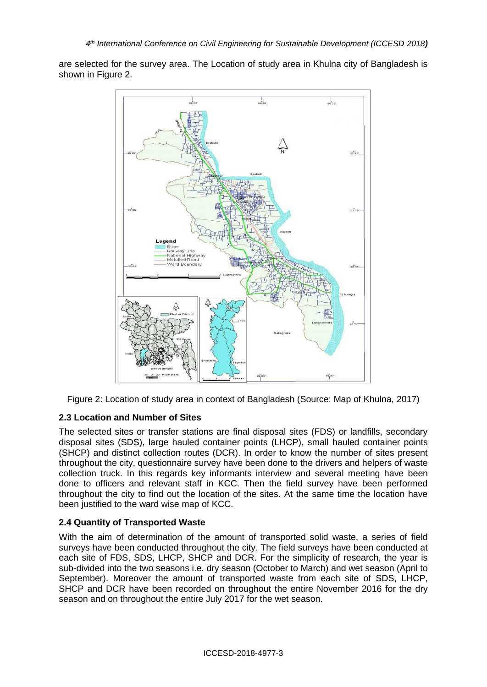are selected for the survey area. The Location of study area in Khulna city of Bangladesh is shown in Figure 2.



Figure 2: Location of study area in context of Bangladesh (Source: Map of Khulna, 2017)

## **2.3 Location and Number of Sites**

The selected sites or transfer stations are final disposal sites (FDS) or landfills, secondary disposal sites (SDS), large hauled container points (LHCP), small hauled container points (SHCP) and distinct collection routes (DCR). In order to know the number of sites present throughout the city, questionnaire survey have been done to the drivers and helpers of waste collection truck. In this regards key informants interview and several meeting have been done to officers and relevant staff in KCC. Then the field survey have been performed throughout the city to find out the location of the sites. At the same time the location have been justified to the ward wise map of KCC.

## **2.4 Quantity of Transported Waste**

With the aim of determination of the amount of transported solid waste, a series of field surveys have been conducted throughout the city. The field surveys have been conducted at each site of FDS, SDS, LHCP, SHCP and DCR. For the simplicity of research, the year is sub-divided into the two seasons i.e. dry season (October to March) and wet season (April to September). Moreover the amount of transported waste from each site of SDS, LHCP, SHCP and DCR have been recorded on throughout the entire November 2016 for the dry season and on throughout the entire July 2017 for the wet season.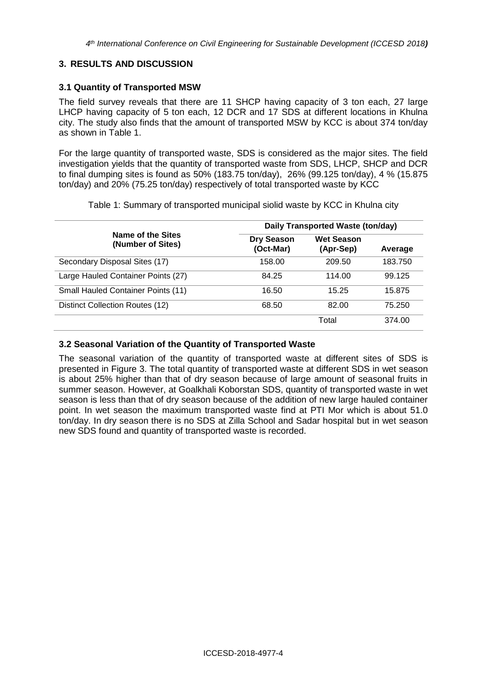## **3. RESULTS AND DISCUSSION**

#### **3.1 Quantity of Transported MSW**

The field survey reveals that there are 11 SHCP having capacity of 3 ton each, 27 large LHCP having capacity of 5 ton each, 12 DCR and 17 SDS at different locations in Khulna city. The study also finds that the amount of transported MSW by KCC is about 374 ton/day as shown in Table 1.

For the large quantity of transported waste, SDS is considered as the major sites. The field investigation yields that the quantity of transported waste from SDS, LHCP, SHCP and DCR to final dumping sites is found as 50% (183.75 ton/day), 26% (99.125 ton/day), 4 % (15.875 ton/day) and 20% (75.25 ton/day) respectively of total transported waste by KCC

|                                        | Daily Transported Waste (ton/day) |                                |         |
|----------------------------------------|-----------------------------------|--------------------------------|---------|
| Name of the Sites<br>(Number of Sites) | Dry Season<br>(Oct-Mar)           | <b>Wet Season</b><br>(Apr-Sep) | Average |
| Secondary Disposal Sites (17)          | 158.00                            | 209.50                         | 183.750 |
| Large Hauled Container Points (27)     | 84.25                             | 114.00                         | 99.125  |
| Small Hauled Container Points (11)     | 16.50                             | 15.25                          | 15.875  |
| Distinct Collection Routes (12)        | 68.50                             | 82.00                          | 75.250  |
|                                        |                                   | Total                          | 374.00  |

Table 1: Summary of transported municipal siolid waste by KCC in Khulna city

## **3.2 Seasonal Variation of the Quantity of Transported Waste**

The seasonal variation of the quantity of transported waste at different sites of SDS is presented in Figure 3. The total quantity of transported waste at different SDS in wet season is about 25% higher than that of dry season because of large amount of seasonal fruits in summer season. However, at Goalkhali Koborstan SDS, quantity of transported waste in wet season is less than that of dry season because of the addition of new large hauled container point. In wet season the maximum transported waste find at PTI Mor which is about 51.0 ton/day. In dry season there is no SDS at Zilla School and Sadar hospital but in wet season new SDS found and quantity of transported waste is recorded.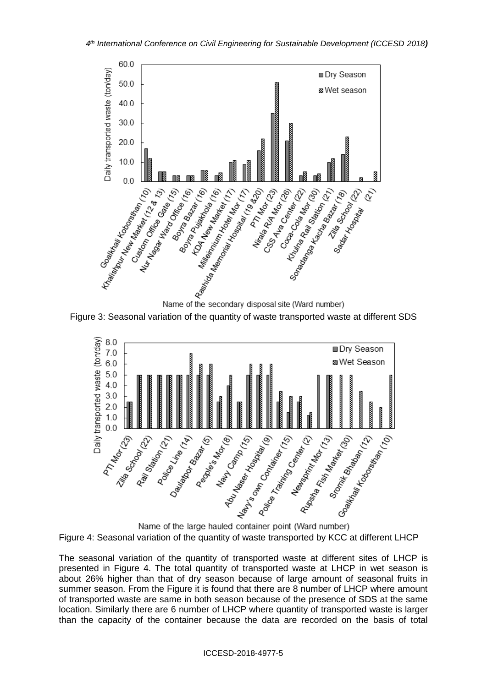

Name of the secondary disposal site (Ward number)

Figure 3: Seasonal variation of the quantity of waste transported waste at different SDS



Name of the large hauled container point (Ward number) Figure 4: Seasonal variation of the quantity of waste transported by KCC at different LHCP

The seasonal variation of the quantity of transported waste at different sites of LHCP is presented in Figure 4. The total quantity of transported waste at LHCP in wet season is about 26% higher than that of dry season because of large amount of seasonal fruits in summer season. From the Figure it is found that there are 8 number of LHCP where amount of transported waste are same in both season because of the presence of SDS at the same location. Similarly there are 6 number of LHCP where quantity of transported waste is larger than the capacity of the container because the data are recorded on the basis of total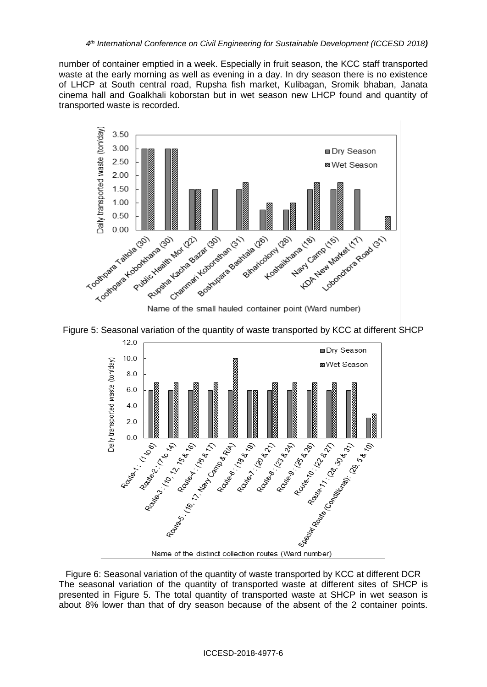number of container emptied in a week. Especially in fruit season, the KCC staff transported waste at the early morning as well as evening in a day. In dry season there is no existence of LHCP at South central road, Rupsha fish market, Kulibagan, Sromik bhaban, Janata cinema hall and Goalkhali koborstan but in wet season new LHCP found and quantity of transported waste is recorded.



Name of the small hauled container point (Ward number)

Figure 5: Seasonal variation of the quantity of waste transported by KCC at different SHCP



Name of the distinct collection routes (Ward number)

Figure 6: Seasonal variation of the quantity of waste transported by KCC at different DCR The seasonal variation of the quantity of transported waste at different sites of SHCP is presented in Figure 5. The total quantity of transported waste at SHCP in wet season is about 8% lower than that of dry season because of the absent of the 2 container points.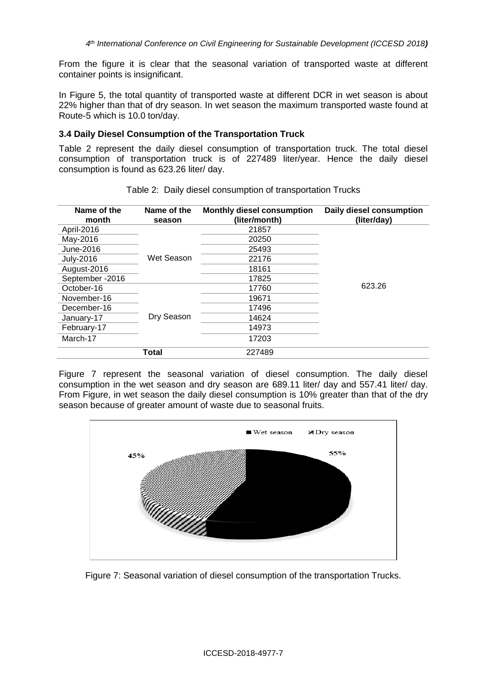From the figure it is clear that the seasonal variation of transported waste at different container points is insignificant.

In Figure 5, the total quantity of transported waste at different DCR in wet season is about 22% higher than that of dry season. In wet season the maximum transported waste found at Route-5 which is 10.0 ton/day.

#### **3.4 Daily Diesel Consumption of the Transportation Truck**

Table 2 represent the daily diesel consumption of transportation truck. The total diesel consumption of transportation truck is of 227489 liter/year. Hence the daily diesel consumption is found as 623.26 liter/ day.

| Name of the      | Name of the | <b>Monthly diesel consumption</b> | Daily diesel consumption |
|------------------|-------------|-----------------------------------|--------------------------|
| month            | season      | (liter/month)                     | (liter/day)              |
| April-2016       | Wet Season  | 21857                             |                          |
| May-2016         |             | 20250                             |                          |
| June-2016        |             | 25493                             |                          |
| <b>July-2016</b> |             | 22176                             |                          |
| August-2016      |             | 18161                             |                          |
| September - 2016 |             | 17825                             |                          |
| October-16       | Dry Season  | 17760                             | 623.26                   |
| November-16      |             | 19671                             |                          |
| December-16      |             | 17496                             |                          |
| January-17       |             | 14624                             |                          |
| February-17      |             | 14973                             |                          |
| March-17         |             | 17203                             |                          |
| Total            |             | 227489                            |                          |

Table 2: Daily diesel consumption of transportation Trucks

Figure 7 represent the seasonal variation of diesel consumption. The daily diesel consumption in the wet season and dry season are 689.11 liter/ day and 557.41 liter/ day. From Figure, in wet season the daily diesel consumption is 10% greater than that of the dry season because of greater amount of waste due to seasonal fruits.



Figure 7: Seasonal variation of diesel consumption of the transportation Trucks.